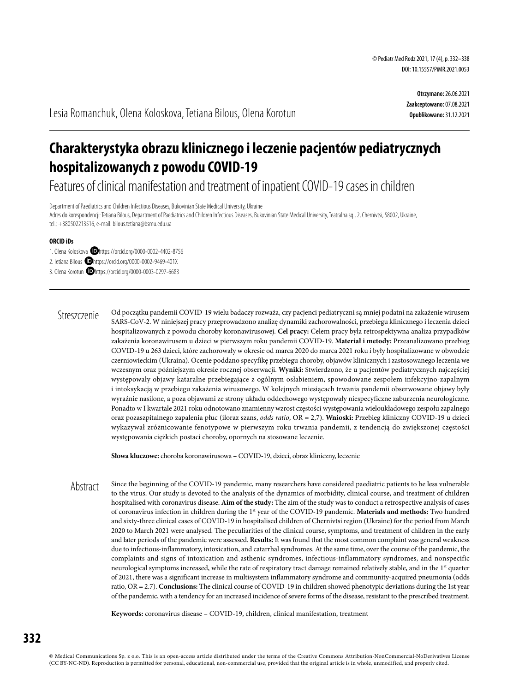**Otrzymano:** 26.06.2021 **Zaakceptowano:** 07.08.2021 **Opublikowano:** 31.12.2021

Lesia Romanchuk, Olena Koloskova, Tetiana Bilous, Olena Korotun

# **Charakterystyka obrazu klinicznego i leczenie pacjentów pediatrycznych hospitalizowanych z powodu COVID-19**

Features of clinical manifestation and treatment of inpatient COVID-19 cases in children

Department of Paediatrics and Children Infectious Diseases, Bukovinian State Medical University, Ukraine Adres do korespondencji: Tetiana Bilous, Department of Paediatrics and Children Infectious Diseases, Bukovinian State Medical University, Teatralna sq., 2, Chernivtsi, 58002, Ukraine, tel.: +380502213516, e-mail: bilous.tetiana@bsmu.edu.ua

#### **ORCID iDs**

1. Olena Koloskova **D**https://orcid.org/0000-0002-4402-8756

2. Tetiana Bilous **D**https://orcid.org/0000-0002-9469-401X

3. Olena Korotun **D**https://orcid.org/0000-0003-0297-6683

Od początku pandemii COVID-19 wielu badaczy rozważa, czy pacjenci pediatryczni są mniej podatni na zakażenie wirusem SARS-CoV-2. W niniejszej pracy przeprowadzono analizę dynamiki zachorowalności, przebiegu klinicznego i leczenia dzieci hospitalizowanych z powodu choroby koronawirusowej. **Cel pracy:** Celem pracy była retrospektywna analiza przypadków zakażenia koronawirusem u dzieci w pierwszym roku pandemii COVID-19. **Materiał i metody:** Przeanalizowano przebieg COVID-19 u 263 dzieci, które zachorowały w okresie od marca 2020 do marca 2021 roku i były hospitalizowane w obwodzie czerniowieckim (Ukraina). Ocenie poddano specyfikę przebiegu choroby, objawów klinicznych i zastosowanego leczenia we wczesnym oraz późniejszym okresie rocznej obserwacji. **Wyniki:** Stwierdzono, że u pacjentów pediatrycznych najczęściej występowały objawy kataralne przebiegające z ogólnym osłabieniem, spowodowane zespołem infekcyjno-zapalnym i intoksykacją w przebiegu zakażenia wirusowego. W kolejnych miesiącach trwania pandemii obserwowane objawy były wyraźnie nasilone, a poza objawami ze strony układu oddechowego występowały niespecyficzne zaburzenia neurologiczne. Ponadto w I kwartale 2021 roku odnotowano znamienny wzrost częstości występowania wieloukładowego zespołu zapalnego oraz pozaszpitalnego zapalenia płuc (iloraz szans, *odds ratio*, OR = 2,7). **Wnioski:** Przebieg kliniczny COVID-19 u dzieci wykazywał zróżnicowanie fenotypowe w pierwszym roku trwania pandemii, z tendencją do zwiększonej częstości występowania ciężkich postaci choroby, opornych na stosowane leczenie. Streszczenie

**Słowa kluczowe:** choroba koronawirusowa – COVID-19, dzieci, obraz kliniczny, leczenie

Since the beginning of the COVID-19 pandemic, many researchers have considered paediatric patients to be less vulnerable to the virus. Our study is devoted to the analysis of the dynamics of morbidity, clinical course, and treatment of children hospitalised with coronavirus disease. **Aim of the study:** The aim of the study was to conduct a retrospective analysis of cases of coronavirus infection in children during the 1st year of the COVID-19 pandemic. **Materials and methods:** Two hundred and sixty-three clinical cases of COVID-19 in hospitalised children of Chernivtsi region (Ukraine) for the period from March 2020 to March 2021 were analysed. The peculiarities of the clinical course, symptoms, and treatment of children in the early and later periods of the pandemic were assessed. **Results:** It was found that the most common complaint was general weakness due to infectious-inflammatory, intoxication, and catarrhal syndromes. At the same time, over the course of the pandemic, the complaints and signs of intoxication and asthenic syndromes, infectious-inflammatory syndromes, and nonspecific neurological symptoms increased, while the rate of respiratory tract damage remained relatively stable, and in the 1<sup>st</sup> quarter of 2021, there was a significant increase in multisystem inflammatory syndrome and community-acquired pneumonia (odds ratio, OR = 2.7). **Conclusions:** The clinical course of COVID-19 in children showed phenotypic deviations during the 1st year of the pandemic, with a tendency for an increased incidence of severe forms of the disease, resistant to the prescribed treatment. Abstract

**Keywords:** coronavirus disease – COVID-19, children, clinical manifestation, treatment

© Medical Communications Sp. z o.o. This is an open-access article distributed under the terms of the Creative Commons Attribution-NonCommercial-NoDerivatives License (CC BY-NC-ND). Reproduction is permitted for personal, educational, non-commercial use, provided that the original article is in whole, unmodified, and properly cited.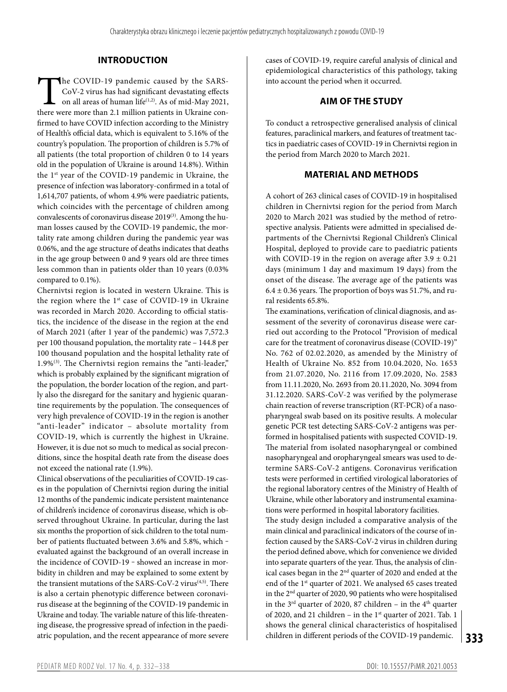## **INTRODUCTION**

The COVID-19 pandemic caused by the SARS-<br>CoV-2 virus has had significant devastating effects<br>on all areas of human life<sup>(1,2)</sup>. As of mid-May 2021,<br>there were more than 2.1 million patients in Ukraine con-CoV-2 virus has had significant devastating effects on all areas of human life<sup> $(1,2)$ </sup>. As of mid-May 2021, there were more than 2.1 million patients in Ukraine confirmed to have COVID infection according to the Ministry of Health's official data, which is equivalent to 5.16% of the country's population. The proportion of children is 5.7% of all patients (the total proportion of children 0 to 14 years old in the population of Ukraine is around 14.8%). Within the 1st year of the COVID-19 pandemic in Ukraine, the presence of infection was laboratory-confirmed in a total of 1,614,707 patients, of whom 4.9% were paediatric patients, which coincides with the percentage of children among convalescents of coronavirus disease 2019<sup>(3)</sup>. Among the human losses caused by the COVID-19 pandemic, the mortality rate among children during the pandemic year was 0.06%, and the age structure of deaths indicates that deaths in the age group between 0 and 9 years old are three times less common than in patients older than 10 years (0.03% compared to 0.1%).

Chernivtsi region is located in western Ukraine. This is the region where the  $1<sup>st</sup>$  case of COVID-19 in Ukraine was recorded in March 2020. According to official statistics, the incidence of the disease in the region at the end of March 2021 (after 1 year of the pandemic) was 7,572.3 per 100 thousand population, the mortality rate – 144.8 per 100 thousand population and the hospital lethality rate of 1.9%(3). The Chernivtsi region remains the "anti-leader," which is probably explained by the significant migration of the population, the border location of the region, and partly also the disregard for the sanitary and hygienic quarantine requirements by the population. The consequences of very high prevalence of COVID-19 in the region is another "anti-leader" indicator – absolute mortality from COVID-19, which is currently the highest in Ukraine. However, it is due not so much to medical as social preconditions, since the hospital death rate from the disease does not exceed the national rate (1.9%).

Clinical observations of the peculiarities of COVID-19 cases in the population of Chernivtsi region during the initial 12 months of the pandemic indicate persistent maintenance of children's incidence of coronavirus disease, which is observed throughout Ukraine. In particular, during the last six months the proportion of sick children to the total number of patients fluctuated between 3.6% and 5.8%, which evaluated against the background of an overall increase in the incidence of COVID-19 - showed an increase in morbidity in children and may be explained to some extent by the transient mutations of the SARS-CoV-2 virus<sup>(4,5)</sup>. There is also a certain phenotypic difference between coronavirus disease at the beginning of the COVID-19 pandemic in Ukraine and today. The variable nature of this life-threatening disease, the progressive spread of infection in the paediatric population, and the recent appearance of more severe

cases of COVID-19, require careful analysis of clinical and epidemiological characteristics of this pathology, taking into account the period when it occurred.

## **AIM OF THE STUDY**

To conduct a retrospective generalised analysis of clinical features, paraclinical markers, and features of treatment tactics in paediatric cases of COVID-19 in Chernivtsi region in the period from March 2020 to March 2021.

## **MATERIAL AND METHODS**

A cohort of 263 clinical cases of COVID-19 in hospitalised children in Chernivtsi region for the period from March 2020 to March 2021 was studied by the method of retrospective analysis. Patients were admitted in specialised departments of the Chernivtsi Regional Children's Clinical Hospital, deployed to provide care to paediatric patients with COVID-19 in the region on average after  $3.9 \pm 0.21$ days (minimum 1 day and maximum 19 days) from the onset of the disease. The average age of the patients was  $6.4 \pm 0.36$  years. The proportion of boys was 51.7%, and rural residents 65.8%.

**333** The examinations, verification of clinical diagnosis, and assessment of the severity of coronavirus disease were carried out according to the Protocol "Provision of medical care for the treatment of coronavirus disease (COVID-19)" No. 762 of 02.02.2020, as amended by the Ministry of Health of Ukraine No. 852 from 10.04.2020, No. 1653 from 21.07.2020, No. 2116 from 17.09.2020, No. 2583 from 11.11.2020, No. 2693 from 20.11.2020, No. 3094 from 31.12.2020. SARS-CoV-2 was verified by the polymerase chain reaction of reverse transcription (RT-PCR) of a nasopharyngeal swab based on its positive results. A molecular genetic PCR test detecting SARS-CoV-2 antigens was performed in hospitalised patients with suspected COVID-19. The material from isolated nasopharyngeal or combined nasopharyngeal and oropharyngeal smears was used to determine SARS-CoV-2 antigens. Coronavirus verification tests were performed in certified virological laboratories of the regional laboratory centres of the Ministry of Health of Ukraine, while other laboratory and instrumental examinations were performed in hospital laboratory facilities. The study design included a comparative analysis of the main clinical and paraclinical indicators of the course of infection caused by the SARS-CoV-2 virus in children during the period defined above, which for convenience we divided into separate quarters of the year. Thus, the analysis of clinical cases began in the 2nd quarter of 2020 and ended at the end of the 1st quarter of 2021. We analysed 65 cases treated in the 2nd quarter of 2020, 90 patients who were hospitalised in the  $3<sup>rd</sup>$  quarter of 2020, 87 children – in the  $4<sup>th</sup>$  quarter of 2020, and 21 children – in the 1<sup>st</sup> quarter of 2021. Tab. 1 shows the general clinical characteristics of hospitalised children in different periods of the COVID-19 pandemic.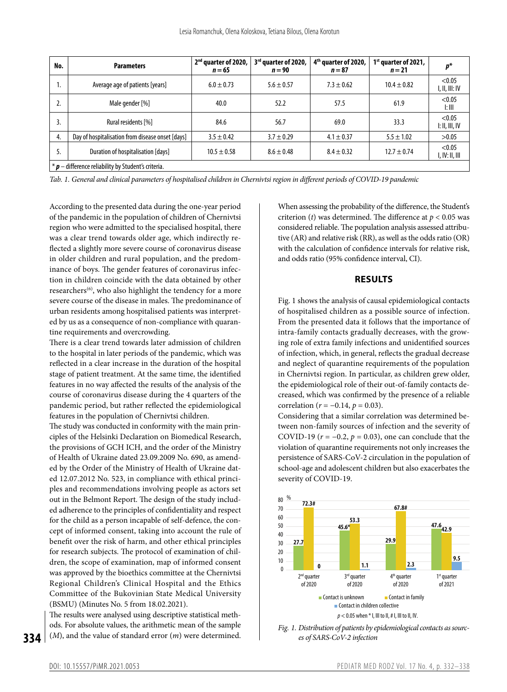| No.                                                                  | <b>Parameters</b>                                | 2 <sup>nd</sup> quarter of 2020,<br>$n = 65$ | 3rd quarter of 2020,<br>$n = 90$ | 4 <sup>th</sup> quarter of 2020,<br>$n = 87$ | $1st$ quarter of 2021,<br>$n=21$ | $p^*$                               |  |  |
|----------------------------------------------------------------------|--------------------------------------------------|----------------------------------------------|----------------------------------|----------------------------------------------|----------------------------------|-------------------------------------|--|--|
| ъ.                                                                   | Average age of patients [years]                  | $6.0 \pm 0.73$                               | $5.6 \pm 0.57$                   | $7.3 \pm 0.62$                               | $10.4 \pm 0.82$                  | < 0.05<br>1, 11, 111: IV            |  |  |
|                                                                      | Male gender [%]                                  | 40.0                                         | 52.2                             | 57.5                                         | 61.9                             | < 0.05<br>l: III                    |  |  |
| 3.                                                                   | Rural residents [%]                              | 84.6                                         | 56.7                             | 69.0                                         | 33.3                             | < 0.05<br>$\parallel$ : II, III, IV |  |  |
| 4.                                                                   | Day of hospitalisation from disease onset [days] | $3.5 \pm 0.42$                               | $3.7 \pm 0.29$                   | $4.1 \pm 0.37$                               | $5.5 \pm 1.02$                   | >0.05                               |  |  |
| 5.                                                                   | Duration of hospitalisation [days]               | $10.5 \pm 0.58$                              | $8.6 \pm 0.48$                   | $8.4 \pm 0.32$                               | $12.7 \pm 0.74$                  | < 0.05<br>I, IV: II, III            |  |  |
| $*$ $\boldsymbol{p}$ – difference reliability by Student's criteria. |                                                  |                                              |                                  |                                              |                                  |                                     |  |  |

*Tab. 1. General and clinical parameters of hospitalised children in Chernivtsi region in different periods of COVID-19 pandemic*

According to the presented data during the one-year period of the pandemic in the population of children of Chernivtsi region who were admitted to the specialised hospital, there was a clear trend towards older age, which indirectly reflected a slightly more severe course of coronavirus disease in older children and rural population, and the predominance of boys. The gender features of coronavirus infection in children coincide with the data obtained by other researchers $(6)$ , who also highlight the tendency for a more severe course of the disease in males. The predominance of urban residents among hospitalised patients was interpreted by us as a consequence of non-compliance with quarantine requirements and overcrowding.

There is a clear trend towards later admission of children to the hospital in later periods of the pandemic, which was reflected in a clear increase in the duration of the hospital stage of patient treatment. At the same time, the identified features in no way affected the results of the analysis of the course of coronavirus disease during the 4 quarters of the pandemic period, but rather reflected the epidemiological features in the population of Chernivtsi children.

The study was conducted in conformity with the main principles of the Helsinki Declaration on Biomedical Research, the provisions of GCH ICH, and the order of the Ministry of Health of Ukraine dated 23.09.2009 No. 690, as amended by the Order of the Ministry of Health of Ukraine dated 12.07.2012 No. 523, in compliance with ethical principles and recommendations involving people as actors set out in the Belmont Report. The design of the study included adherence to the principles of confidentiality and respect for the child as a person incapable of self-defence, the concept of informed consent, taking into account the rule of benefit over the risk of harm, and other ethical principles for research subjects. The protocol of examination of children, the scope of examination, map of informed consent was approved by the bioethics committee at the Chernivtsi Regional Children's Clinical Hospital and the Ethics Committee of the Bukovinian State Medical University (BSMU) (Minutes No. 5 from 18.02.2021).

The results were analysed using descriptive statistical methods. For absolute values, the arithmetic mean of the sample (*M*), and the value of standard error (*m*) were determined.

When assessing the probability of the difference, the Student's criterion (*t*) was determined. The difference at *p* < 0.05 was considered reliable. The population analysis assessed attributive (AR) and relative risk (RR), as well as the odds ratio (OR) with the calculation of confidence intervals for relative risk, and odds ratio (95% confidence interval, CI).

#### **RESULTS**

Fig. 1 shows the analysis of causal epidemiological contacts of hospitalised children as a possible source of infection. From the presented data it follows that the importance of intra-family contacts gradually decreases, with the growing role of extra family infections and unidentified sources of infection, which, in general, reflects the gradual decrease and neglect of quarantine requirements of the population in Chernivtsi region. In particular, as children grew older, the epidemiological role of their out-of-family contacts decreased, which was confirmed by the presence of a reliable correlation (*r* = −0.14, *p* = 0.03).

Considering that a similar correlation was determined between non-family sources of infection and the severity of COVID-19 ( $r = -0.2$ ,  $p = 0.03$ ), one can conclude that the violation of quarantine requirements not only increases the persistence of SARS-CoV-2 circulation in the population of school-age and adolescent children but also exacerbates the severity of COVID-19.





**334**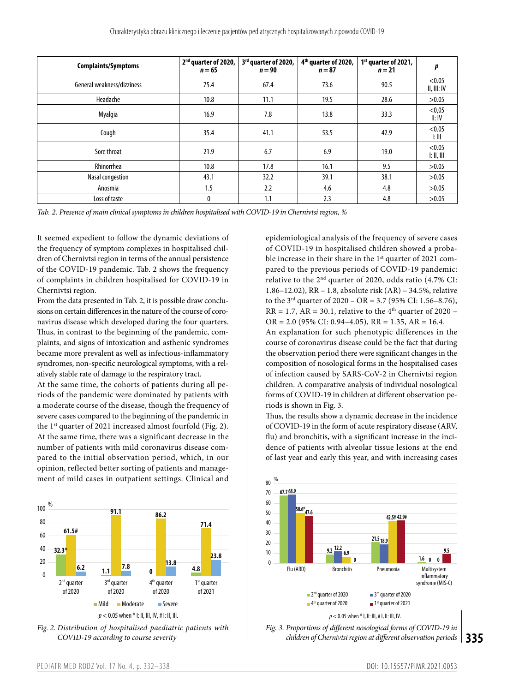| <b>Complaints/Symptoms</b> | 2 <sup>nd</sup> quarter of 2020,<br>$n = 65$ | 3rd quarter of 2020,<br>$n = 90$ | 4 <sup>th</sup> quarter of 2020,<br>$n = 87$ | $1st$ quarter of 2021,<br>$n = 21$ | p                                                 |
|----------------------------|----------------------------------------------|----------------------------------|----------------------------------------------|------------------------------------|---------------------------------------------------|
| General weakness/dizziness | 75.4                                         | 67.4                             | 73.6                                         | 90.5                               | < 0.05<br>II, III: IV                             |
| Headache                   | 10.8                                         | 11.1                             | 19.5                                         | 28.6                               | >0.05                                             |
| Myalgia                    | 16.9                                         | 7.8                              | 13.8                                         | 33.3                               | < 0,05<br>II: IV                                  |
| Cough                      | 35.4                                         | 41.1                             | 53.5                                         | 42.9                               | < 0.05<br>l: III                                  |
| Sore throat                | 21.9                                         | 6.7                              | 6.9                                          | 19.0                               | < 0.05<br>$\parallel$ : $\parallel$ , $\parallel$ |
| Rhinorrhea                 | 10.8                                         | 17.8                             | 16.1                                         | 9.5                                | >0.05                                             |
| Nasal congestion           | 43.1                                         | 32.2                             | 39.1                                         | 38.1                               | >0.05                                             |
| Anosmia                    | 1.5                                          | 2.2                              | 4.6                                          | 4.8                                | >0.05                                             |
| Loss of taste              | 0                                            | 1.1                              | 2.3                                          | 4.8                                | >0.05                                             |

*Tab. 2. Presence of main clinical symptoms in children hospitalised with COVID-19 in Chernivtsi region, %*

It seemed expedient to follow the dynamic deviations of the frequency of symptom complexes in hospitalised children of Chernivtsi region in terms of the annual persistence of the COVID-19 pandemic. Tab. 2 shows the frequency of complaints in children hospitalised for COVID-19 in Chernivtsi region.

From the data presented in Tab. 2, it is possible draw conclusions on certain differences in the nature of the course of coronavirus disease which developed during the four quarters. Thus, in contrast to the beginning of the pandemic, complaints, and signs of intoxication and asthenic syndromes became more prevalent as well as infectious-inflammatory syndromes, non-specific neurological symptoms, with a relatively stable rate of damage to the respiratory tract.

At the same time, the cohorts of patients during all periods of the pandemic were dominated by patients with a moderate course of the disease, though the frequency of severe cases compared to the beginning of the pandemic in the 1<sup>st</sup> quarter of 2021 increased almost fourfold (Fig. 2). At the same time, there was a significant decrease in the number of patients with mild coronavirus disease compared to the initial observation period, which, in our opinion, reflected better sorting of patients and management of mild cases in outpatient settings. Clinical and





epidemiological analysis of the frequency of severe cases of COVID-19 in hospitalised children showed a probable increase in their share in the 1<sup>st</sup> quarter of 2021 compared to the previous periods of COVID-19 pandemic: relative to the 2nd quarter of 2020, odds ratio (4.7% CI: 1.86–12.02), RR – 1.8, absolute risk (AR) – 34.5%, relative to the  $3<sup>rd</sup>$  quarter of  $2020 - OR = 3.7$  (95% CI: 1.56–8.76),  $RR = 1.7$ ,  $AR = 30.1$ , relative to the 4<sup>th</sup> quarter of 2020 –  $OR = 2.0$  (95% CI: 0.94–4.05),  $RR = 1.35$ ,  $AR = 16.4$ . An explanation for such phenotypic differences in the course of coronavirus disease could be the fact that during the observation period there were significant changes in the composition of nosological forms in the hospitalised cases of infection caused by SARS-CoV-2 in Chernivtsi region children. A comparative analysis of individual nosological forms of COVID-19 in children at different observation periods is shown in Fig. 3.

Thus, the results show a dynamic decrease in the incidence of COVID-19 in the form of acute respiratory disease (ARV, flu) and bronchitis, with a significant increase in the incidence of patients with alveolar tissue lesions at the end of last year and early this year, and with increasing cases



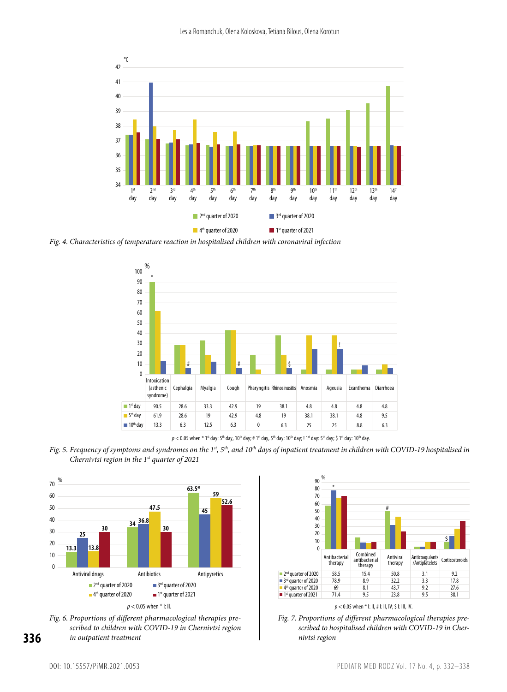

*Fig. 4. Characteristics of temperature reaction in hospitalised children with coronaviral infection*



 $p < 0.05$  when  $*$  1<sup>st</sup> day: 5<sup>th</sup> day, 10<sup>th</sup> day; # 1<sup>st</sup> day, 5<sup>th</sup> day; 10<sup>th</sup> day; 1<sup>st</sup> day; \$ 1<sup>st</sup> day: 10<sup>th</sup> day.

*Fig.* 5. Frequency of symptoms and syndromes on the 1<sup>st</sup>, 5<sup>th</sup>, and 10<sup>th</sup> days of inpatient treatment in children with COVID-19 hospitalised in *Chernivtsi region in the 1st quarter of 2021*







 $p < 0.05$  when  $*$  I: II, # I: II, IV; \$ I: III, IV.



**336**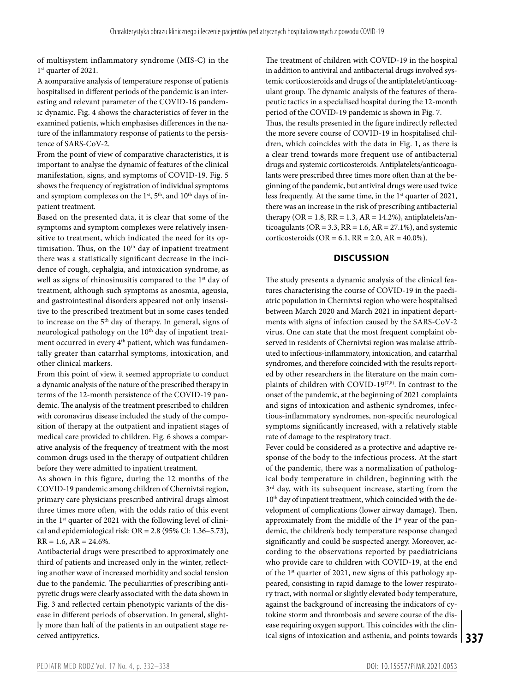of multisystem inflammatory syndrome (MIS-C) in the 1st quarter of 2021.

A aomparative analysis of temperature response of patients hospitalised in different periods of the pandemic is an interesting and relevant parameter of the COVID-16 pandemic dynamic. Fig. 4 shows the characteristics of fever in the examined patients, which emphasises differences in the nature of the inflammatory response of patients to the persistence of SARS-CoV-2.

From the point of view of comparative characteristics, it is important to analyse the dynamic of features of the clinical manifestation, signs, and symptoms of COVID-19. Fig. 5 shows the frequency of registration of individual symptoms and symptom complexes on the  $1<sup>st</sup>$ ,  $5<sup>th</sup>$ , and  $10<sup>th</sup>$  days of inpatient treatment.

Based on the presented data, it is clear that some of the symptoms and symptom complexes were relatively insensitive to treatment, which indicated the need for its optimisation. Thus, on the  $10<sup>th</sup>$  day of inpatient treatment there was a statistically significant decrease in the incidence of cough, cephalgia, and intoxication syndrome, as well as signs of rhinosinusitis compared to the 1<sup>st</sup> day of treatment, although such symptoms as anosmia, ageusia, and gastrointestinal disorders appeared not only insensitive to the prescribed treatment but in some cases tended to increase on the 5<sup>th</sup> day of therapy. In general, signs of neurological pathology on the 10<sup>th</sup> day of inpatient treatment occurred in every 4<sup>th</sup> patient, which was fundamentally greater than catarrhal symptoms, intoxication, and other clinical markers.

From this point of view, it seemed appropriate to conduct a dynamic analysis of the nature of the prescribed therapy in terms of the 12-month persistence of the COVID-19 pandemic. The analysis of the treatment prescribed to children with coronavirus disease included the study of the composition of therapy at the outpatient and inpatient stages of medical care provided to children. Fig. 6 shows a comparative analysis of the frequency of treatment with the most common drugs used in the therapy of outpatient children before they were admitted to inpatient treatment.

As shown in this figure, during the 12 months of the COVID-19 pandemic among children of Chernivtsi region, primary care physicians prescribed antiviral drugs almost three times more often, with the odds ratio of this event in the 1<sup>st</sup> quarter of 2021 with the following level of clinical and epidemiological risk:  $OR = 2.8$  (95% CI: 1.36-5.73),  $RR = 1.6$ ,  $AR = 24.6\%$ .

Antibacterial drugs were prescribed to approximately one third of patients and increased only in the winter, reflecting another wave of increased morbidity and social tension due to the pandemic. The peculiarities of prescribing antipyretic drugs were clearly associated with the data shown in Fig. 3 and reflected certain phenotypic variants of the disease in different periods of observation. In general, slightly more than half of the patients in an outpatient stage received antipyretics.

The treatment of children with COVID-19 in the hospital in addition to antiviral and antibacterial drugs involved systemic corticosteroids and drugs of the antiplatelet/anticoagulant group. The dynamic analysis of the features of therapeutic tactics in a specialised hospital during the 12-month period of the COVID-19 pandemic is shown in Fig. 7. Thus, the results presented in the figure indirectly reflected the more severe course of COVID-19 in hospitalised children, which coincides with the data in Fig. 1, as there is a clear trend towards more frequent use of antibacterial drugs and systemic corticosteroids. Antiplatelets/anticoagulants were prescribed three times more often than at the beginning of the pandemic, but antiviral drugs were used twice less frequently. At the same time, in the 1<sup>st</sup> quarter of 2021, there was an increase in the risk of prescribing antibacterial therapy (OR = 1.8,  $RR = 1.3$ ,  $AR = 14.2$ %), antiplatelets/anticoagulants ( $OR = 3.3$ ,  $RR = 1.6$ ,  $AR = 27.1\%$ ), and systemic corticosteroids (OR = 6.1, RR = 2.0, AR = 40.0%).

#### **DISCUSSION**

The study presents a dynamic analysis of the clinical features characterising the course of COVID-19 in the paediatric population in Chernivtsi region who were hospitalised between March 2020 and March 2021 in inpatient departments with signs of infection caused by the SARS-CoV-2 virus. One can state that the most frequent complaint observed in residents of Chernivtsi region was malaise attributed to infectious-inflammatory, intoxication, and catarrhal syndromes, and therefore coincided with the results reported by other researchers in the literature on the main complaints of children with COVID-19<sup>(7,8)</sup>. In contrast to the onset of the pandemic, at the beginning of 2021 complaints and signs of intoxication and asthenic syndromes, infectious-inflammatory syndromes, non-specific neurological symptoms significantly increased, with a relatively stable rate of damage to the respiratory tract.

**337** ical signs of intoxication and asthenia, and points towards Fever could be considered as a protective and adaptive response of the body to the infectious process. At the start of the pandemic, there was a normalization of pathological body temperature in children, beginning with the  $3<sup>rd</sup>$  day, with its subsequent increase, starting from the 10<sup>th</sup> day of inpatient treatment, which coincided with the development of complications (lower airway damage). Then, approximately from the middle of the 1<sup>st</sup> year of the pandemic, the children's body temperature response changed significantly and could be suspected anergy. Moreover, according to the observations reported by paediatricians who provide care to children with COVID-19, at the end of the 1st quarter of 2021, new signs of this pathology appeared, consisting in rapid damage to the lower respiratory tract, with normal or slightly elevated body temperature, against the background of increasing the indicators of cytokine storm and thrombosis and severe course of the disease requiring oxygen support. This coincides with the clin